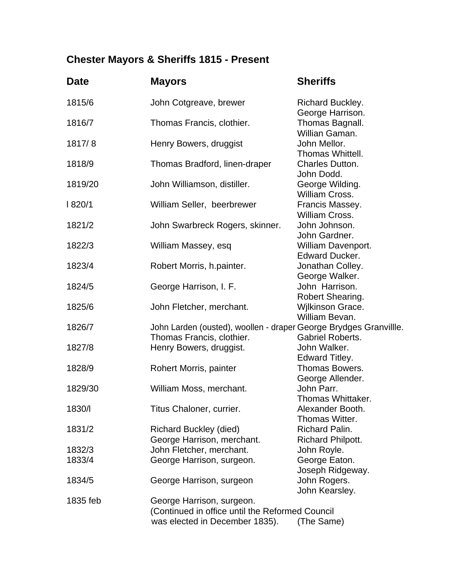## **Chester Mayors & Sheriffs 1815 - Present**

| <b>Date</b> | <b>Mayors</b>                                                                                  | <b>Sheriffs</b>                             |  |
|-------------|------------------------------------------------------------------------------------------------|---------------------------------------------|--|
| 1815/6      | John Cotgreave, brewer                                                                         | Richard Buckley.<br>George Harrison.        |  |
| 1816/7      | Thomas Francis, clothier.                                                                      | Thomas Bagnall.<br>Willian Gaman.           |  |
| 1817/8      | Henry Bowers, druggist                                                                         | John Mellor.<br>Thomas Whittell.            |  |
| 1818/9      | Thomas Bradford, linen-draper                                                                  | Charles Dutton.<br>John Dodd.               |  |
| 1819/20     | John Williamson, distiller.                                                                    | George Wilding.<br>William Cross.           |  |
| 820/1       | William Seller, beerbrewer                                                                     | Francis Massey.<br>William Cross.           |  |
| 1821/2      | John Swarbreck Rogers, skinner.                                                                | John Johnson.<br>John Gardner.              |  |
| 1822/3      | William Massey, esq                                                                            | William Davenport.<br><b>Edward Ducker.</b> |  |
| 1823/4      | Robert Morris, h.painter.                                                                      | Jonathan Colley.<br>George Walker.          |  |
| 1824/5      | George Harrison, I. F.                                                                         | John Harrison.<br>Robert Shearing.          |  |
| 1825/6      | John Fletcher, merchant.                                                                       | Wilkinson Grace.<br>William Bevan.          |  |
| 1826/7      | John Larden (ousted), woollen - draper George Brydges Granvillle.<br>Thomas Francis, clothier. | <b>Gabriel Roberts.</b>                     |  |
| 1827/8      | Henry Bowers, druggist.                                                                        | John Walker.<br>Edward Titley.              |  |
| 1828/9      | Rohert Morris, painter                                                                         | Thomas Bowers.<br>George Allender.          |  |
| 1829/30     | William Moss, merchant.                                                                        | John Parr.<br>Thomas Whittaker.             |  |
| 1830/l      | Titus Chaloner, currier.                                                                       | Alexander Booth.<br>Thomas Witter.          |  |
| 1831/2      | <b>Richard Buckley (died)</b><br>George Harrison, merchant.                                    | Richard Palin.<br><b>Richard Philpott.</b>  |  |
| 1832/3      | John Fletcher, merchant.                                                                       | John Royle.                                 |  |
| 1833/4      | George Harrison, surgeon.                                                                      | George Eaton.<br>Joseph Ridgeway.           |  |
| 1834/5      | George Harrison, surgeon                                                                       | John Rogers.<br>John Kearsley.              |  |
| 1835 feb    | George Harrison, surgeon.                                                                      |                                             |  |
|             | (Continued in office until the Reformed Council                                                |                                             |  |
|             | was elected in December 1835).                                                                 | (The Same)                                  |  |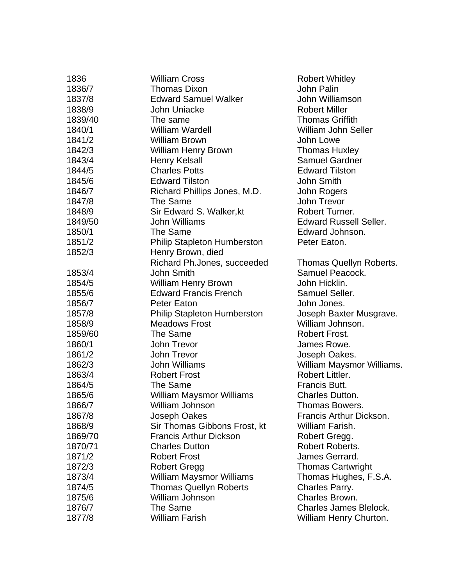| 1836    | <b>William Cross</b>               | <b>Robert Whitley</b>         |
|---------|------------------------------------|-------------------------------|
| 1836/7  | <b>Thomas Dixon</b>                | John Palin                    |
| 1837/8  | <b>Edward Samuel Walker</b>        | John Williamson               |
| 1838/9  | John Uniacke                       | <b>Robert Miller</b>          |
| 1839/40 | The same                           | <b>Thomas Griffith</b>        |
| 1840/1  | <b>William Wardell</b>             | <b>William John Seller</b>    |
| 1841/2  | <b>William Brown</b>               | John Lowe                     |
| 1842/3  | <b>William Henry Brown</b>         | <b>Thomas Huxley</b>          |
| 1843/4  | <b>Henry Kelsall</b>               | <b>Samuel Gardner</b>         |
| 1844/5  | <b>Charles Potts</b>               | <b>Edward Tilston</b>         |
| 1845/6  | <b>Edward Tilston</b>              | <b>John Smith</b>             |
| 1846/7  | Richard Phillips Jones, M.D.       | John Rogers                   |
| 1847/8  | The Same                           | John Trevor                   |
| 1848/9  | Sir Edward S. Walker, kt           | Robert Turner.                |
| 1849/50 | John Williams                      | <b>Edward Russell Seller.</b> |
| 1850/1  | The Same                           | Edward Johnson.               |
| 1851/2  | <b>Philip Stapleton Humberston</b> | Peter Eaton.                  |
| 1852/3  | Henry Brown, died                  |                               |
|         | Richard Ph.Jones, succeeded        | Thomas Quellyn Roberts.       |
| 1853/4  | <b>John Smith</b>                  | Samuel Peacock.               |
| 1854/5  | <b>William Henry Brown</b>         | John Hicklin.                 |
| 1855/6  | <b>Edward Francis French</b>       | Samuel Seller.                |
| 1856/7  | Peter Eaton                        | John Jones.                   |
| 1857/8  | <b>Philip Stapleton Humberston</b> | Joseph Baxter Musgrave.       |
| 1858/9  | <b>Meadows Frost</b>               | William Johnson.              |
| 1859/60 | The Same                           | Robert Frost.                 |
| 1860/1  | John Trevor                        | James Rowe.                   |
| 1861/2  | John Trevor                        | Joseph Oakes.                 |
| 1862/3  | <b>John Williams</b>               | William Maysmor Williams.     |
| 1863/4  | <b>Robert Frost</b>                | Robert Littler.               |
| 1864/5  | The Same                           | Francis Butt.                 |
| 1865/6  | William Maysmor Williams           | <b>Charles Dutton.</b>        |
| 1866/7  | William Johnson                    | Thomas Bowers.                |
| 1867/8  | Joseph Oakes                       | Francis Arthur Dickson.       |
| 1868/9  | Sir Thomas Gibbons Frost, kt       | William Farish.               |
| 1869/70 | <b>Francis Arthur Dickson</b>      | Robert Gregg.                 |
| 1870/71 | <b>Charles Dutton</b>              | Robert Roberts.               |
| 1871/2  | <b>Robert Frost</b>                | James Gerrard.                |
| 1872/3  | <b>Robert Gregg</b>                | <b>Thomas Cartwright</b>      |
| 1873/4  | <b>William Maysmor Williams</b>    | Thomas Hughes, F.S.A.         |
| 1874/5  | <b>Thomas Quellyn Roberts</b>      | Charles Parry.                |
| 1875/6  | William Johnson                    | Charles Brown.                |
| 1876/7  | The Same                           | <b>Charles James Blelock.</b> |
| 1877/8  | <b>William Farish</b>              | William Henry Churton.        |
|         |                                    |                               |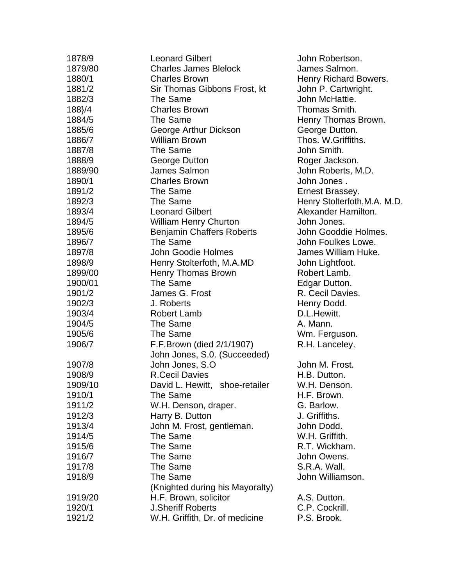| 1878/9  | <b>Leonard Gilbert</b>            | John Robertson.              |
|---------|-----------------------------------|------------------------------|
| 1879/80 | <b>Charles James Blelock</b>      | James Salmon.                |
| 1880/1  | <b>Charles Brown</b>              | Henry Richard Bowers.        |
| 1881/2  | Sir Thomas Gibbons Frost, kt      | John P. Cartwright.          |
| 1882/3  | The Same                          | John McHattie.               |
| 188}/4  | <b>Charles Brown</b>              | Thomas Smith.                |
| 1884/5  | The Same                          | Henry Thomas Brown.          |
| 1885/6  | George Arthur Dickson             | George Dutton.               |
| 1886/7  | <b>William Brown</b>              | Thos. W.Griffiths.           |
| 1887/8  | The Same                          | John Smith.                  |
| 1888/9  | George Dutton                     | Roger Jackson.               |
| 1889/90 | James Salmon                      | John Roberts, M.D.           |
| 1890/1  | <b>Charles Brown</b>              | John Jones.                  |
| 1891/2  | The Same                          | Ernest Brassey.              |
| 1892/3  | The Same                          | Henry Stolterfoth, M.A. M.D. |
| 1893/4  | <b>Leonard Gilbert</b>            | Alexander Hamilton.          |
| 1894/5  | <b>William Henry Churton</b>      | John Jones.                  |
| 1895/6  | <b>Benjamin Chaffers Roberts</b>  | John Gooddie Holmes.         |
| 1896/7  | The Same                          | John Foulkes Lowe.           |
| 1897/8  | John Goodie Holmes                | James William Huke.          |
| 1898/9  | Henry Stolterfoth, M.A.MD         | John Lightfoot.              |
| 1899/00 | <b>Henry Thomas Brown</b>         | Robert Lamb.                 |
| 1900/01 | The Same                          | Edgar Dutton.                |
| 1901/2  | James G. Frost                    | R. Cecil Davies.             |
| 1902/3  | J. Roberts                        | Henry Dodd.                  |
| 1903/4  | <b>Robert Lamb</b>                | D.L.Hewitt.                  |
| 1904/5  | The Same                          | A. Mann.                     |
| 1905/6  | The Same                          | Wm. Ferguson.                |
| 1906/7  | F.F.Brown (died 2/1/1907)         | R.H. Lanceley.               |
|         | John Jones, S.0. (Succeeded)      |                              |
| 1907/8  | John Jones, S.O.                  | John M. Frost.               |
| 1908/9  | <b>R.Cecil Davies</b>             | H.B. Dutton.                 |
| 1909/10 | David L. Hewitt,<br>shoe-retailer | W.H. Denson.                 |
| 1910/1  | The Same                          | H.F. Brown.                  |
| 1911/2  | W.H. Denson, draper.              | G. Barlow.                   |
| 1912/3  | Harry B. Dutton                   | J. Griffiths.                |
| 1913/4  | John M. Frost, gentleman.         | John Dodd.                   |
| 1914/5  | The Same                          | W.H. Griffith.               |
| 1915/6  | The Same                          | R.T. Wickham.                |
| 1916/7  | The Same                          | John Owens.                  |
| 1917/8  | The Same                          | S.R.A. Wall.                 |
| 1918/9  | The Same                          | John Williamson.             |
|         | (Knighted during his Mayoralty)   |                              |
| 1919/20 | H.F. Brown, solicitor             | A.S. Dutton.                 |
| 1920/1  | <b>J.Sheriff Roberts</b>          | C.P. Cockrill.               |
| 1921/2  | W.H. Griffith, Dr. of medicine    | P.S. Brook.                  |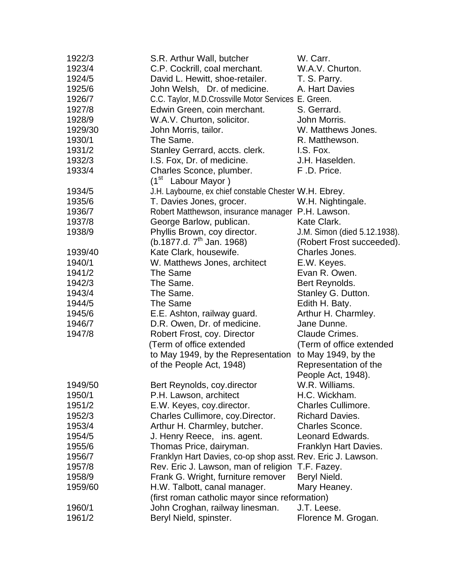| 1922/3  | S.R. Arthur Wall, butcher                                   | W. Carr.                     |  |
|---------|-------------------------------------------------------------|------------------------------|--|
| 1923/4  | C.P. Cockrill, coal merchant.                               | W.A.V. Churton.              |  |
| 1924/5  | David L. Hewitt, shoe-retailer.                             | T. S. Parry.                 |  |
| 1925/6  | John Welsh, Dr. of medicine.                                | A. Hart Davies               |  |
| 1926/7  | C.C. Taylor, M.D.Crossville Motor Services E. Green.        |                              |  |
| 1927/8  | Edwin Green, coin merchant.                                 | S. Gerrard.                  |  |
| 1928/9  | W.A.V. Churton, solicitor.                                  | John Morris.                 |  |
| 1929/30 | John Morris, tailor.                                        | W. Matthews Jones.           |  |
| 1930/1  | The Same.                                                   | R. Matthewson.               |  |
| 1931/2  | Stanley Gerrard, accts. clerk.                              | I.S. Fox.                    |  |
| 1932/3  | I.S. Fox, Dr. of medicine.                                  | J.H. Haselden.               |  |
| 1933/4  | Charles Sconce, plumber.                                    | F.D. Price.                  |  |
|         | (1 <sup>st</sup> Labour Mayor)                              |                              |  |
| 1934/5  | J.H. Laybourne, ex chief constable Chester W.H. Ebrey.      |                              |  |
| 1935/6  | T. Davies Jones, grocer.                                    | W.H. Nightingale.            |  |
| 1936/7  | Robert Matthewson, insurance manager P.H. Lawson.           |                              |  |
| 1937/8  | George Barlow, publican.                                    | Kate Clark.                  |  |
| 1938/9  | Phyllis Brown, coy director.                                | J.M. Simon (died 5.12.1938). |  |
|         | (b.1877.d. $7^{\text{th}}$ Jan. 1968)                       | (Robert Frost succeeded).    |  |
| 1939/40 | Kate Clark, housewife.                                      | Charles Jones.               |  |
| 1940/1  | W. Matthews Jones, architect                                | E.W. Keyes.                  |  |
| 1941/2  | The Same                                                    | Evan R. Owen.                |  |
| 1942/3  | The Same.                                                   | Bert Reynolds.               |  |
| 1943/4  | The Same.                                                   | Stanley G. Dutton.           |  |
| 1944/5  | The Same                                                    | Edith H. Baty.               |  |
| 1945/6  | E.E. Ashton, railway guard.                                 | Arthur H. Charmley.          |  |
| 1946/7  | D.R. Owen, Dr. of medicine.                                 | Jane Dunne.                  |  |
| 1947/8  | Robert Frost, coy. Director                                 | Claude Crimes.               |  |
|         | (Term of office extended                                    | (Term of office extended     |  |
|         | to May 1949, by the Representation                          | to May 1949, by the          |  |
|         | of the People Act, 1948)                                    | Representation of the        |  |
|         |                                                             | People Act, 1948).           |  |
| 1949/50 | Bert Reynolds, coy.director                                 | W.R. Williams.               |  |
| 1950/1  | P.H. Lawson, architect                                      | H.C. Wickham.                |  |
| 1951/2  | E.W. Keyes, coy.director.                                   | <b>Charles Cullimore.</b>    |  |
| 1952/3  | Charles Cullimore, coy. Director.                           | <b>Richard Davies.</b>       |  |
| 1953/4  | Arthur H. Charmley, butcher.                                | Charles Sconce.              |  |
| 1954/5  | J. Henry Reece, ins. agent.                                 | Leonard Edwards.             |  |
| 1955/6  | Thomas Price, dairyman.                                     | Franklyn Hart Davies.        |  |
| 1956/7  | Franklyn Hart Davies, co-op shop asst. Rev. Eric J. Lawson. |                              |  |
| 1957/8  | Rev. Eric J. Lawson, man of religion                        | T.F. Fazey.                  |  |
| 1958/9  | Frank G. Wright, furniture remover                          | Beryl Nield.                 |  |
| 1959/60 | H.W. Talbott, canal manager.                                | Mary Heaney.                 |  |
|         | (first roman catholic mayor since reformation)              |                              |  |
| 1960/1  | John Croghan, railway linesman.                             | J.T. Leese.                  |  |
| 1961/2  | Beryl Nield, spinster.                                      | Florence M. Grogan.          |  |
|         |                                                             |                              |  |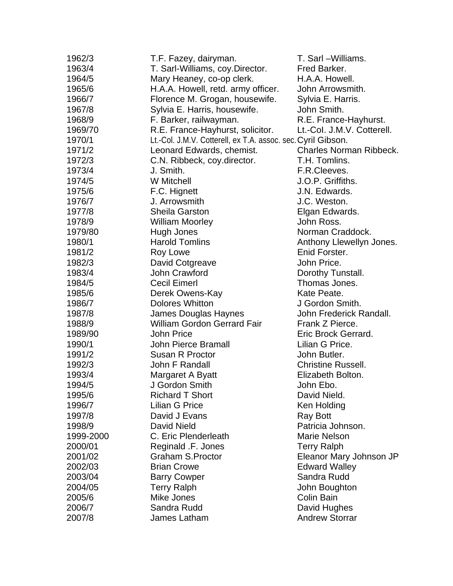| 1962/3    | T.F. Fazey, dairyman.                                        | T. Sarl-Williams.              |
|-----------|--------------------------------------------------------------|--------------------------------|
| 1963/4    | T. Sarl-Williams, coy.Director.                              | Fred Barker.                   |
| 1964/5    | Mary Heaney, co-op clerk.                                    | H.A.A. Howell.                 |
| 1965/6    | H.A.A. Howell, retd. army officer.                           | John Arrowsmith.               |
| 1966/7    | Florence M. Grogan, housewife.                               | Sylvia E. Harris.              |
| 1967/8    | Sylvia E. Harris, housewife.                                 | John Smith.                    |
| 1968/9    | F. Barker, railwayman.                                       | R.E. France-Hayhurst.          |
| 1969/70   | R.E. France-Hayhurst, solicitor.                             | Lt.-Col. J.M.V. Cotterell.     |
| 1970/1    | Lt.-Col. J.M.V. Cotterell, ex T.A. assoc. sec. Cyril Gibson. |                                |
| 1971/2    | Leonard Edwards, chemist.                                    | <b>Charles Norman Ribbeck.</b> |
| 1972/3    | C.N. Ribbeck, coy.director.                                  | T.H. Tomlins.                  |
| 1973/4    | J. Smith.                                                    | F.R.Cleeves.                   |
| 1974/5    | <b>W</b> Mitchell                                            | J.O.P. Griffiths.              |
| 1975/6    | F.C. Hignett                                                 | J.N. Edwards.                  |
| 1976/7    | J. Arrowsmith                                                | J.C. Weston.                   |
| 1977/8    | <b>Sheila Garston</b>                                        | Elgan Edwards.                 |
| 1978/9    | <b>William Moorley</b>                                       | John Ross.                     |
| 1979/80   | Hugh Jones                                                   | Norman Craddock.               |
| 1980/1    | <b>Harold Tomlins</b>                                        | Anthony Llewellyn Jones.       |
| 1981/2    | Roy Lowe                                                     | Enid Forster.                  |
| 1982/3    | David Cotgreave                                              | John Price.                    |
| 1983/4    | John Crawford                                                | Dorothy Tunstall.              |
| 1984/5    | <b>Cecil Eimerl</b>                                          | Thomas Jones.                  |
| 1985/6    | Derek Owens-Kay                                              | Kate Peate.                    |
| 1986/7    | <b>Dolores Whitton</b>                                       | J Gordon Smith.                |
| 1987/8    | James Douglas Haynes                                         | John Frederick Randall.        |
| 1988/9    | William Gordon Gerrard Fair                                  | Frank Z Pierce.                |
| 1989/90   | <b>John Price</b>                                            | Eric Brock Gerrard.            |
| 1990/1    | <b>John Pierce Bramall</b>                                   | Lilian G Price.                |
| 1991/2    | Susan R Proctor                                              | John Butler.                   |
| 1992/3    | John F Randall                                               | <b>Christine Russell.</b>      |
| 1993/4    | Margaret A Byatt                                             | Elizabeth Bolton.              |
| 1994/5    | J Gordon Smith                                               | John Ebo.                      |
| 1995/6    | <b>Richard T Short</b>                                       | David Nield.                   |
| 1996/7    | <b>Lilian G Price</b>                                        | Ken Holding                    |
| 1997/8    | David J Evans                                                | <b>Ray Bott</b>                |
| 1998/9    | <b>David Nield</b>                                           | Patricia Johnson.              |
| 1999-2000 | C. Eric Plenderleath                                         | <b>Marie Nelson</b>            |
| 2000/01   | Reginald .F. Jones                                           | <b>Terry Ralph</b>             |
| 2001/02   | <b>Graham S.Proctor</b>                                      | Eleanor Mary Johnson JP        |
| 2002/03   | <b>Brian Crowe</b>                                           | <b>Edward Walley</b>           |
| 2003/04   | <b>Barry Cowper</b>                                          | Sandra Rudd                    |
| 2004/05   | <b>Terry Ralph</b>                                           | John Boughton                  |
| 2005/6    | Mike Jones                                                   | Colin Bain                     |
| 2006/7    | Sandra Rudd                                                  | David Hughes                   |
| 2007/8    | James Latham                                                 | <b>Andrew Storrar</b>          |